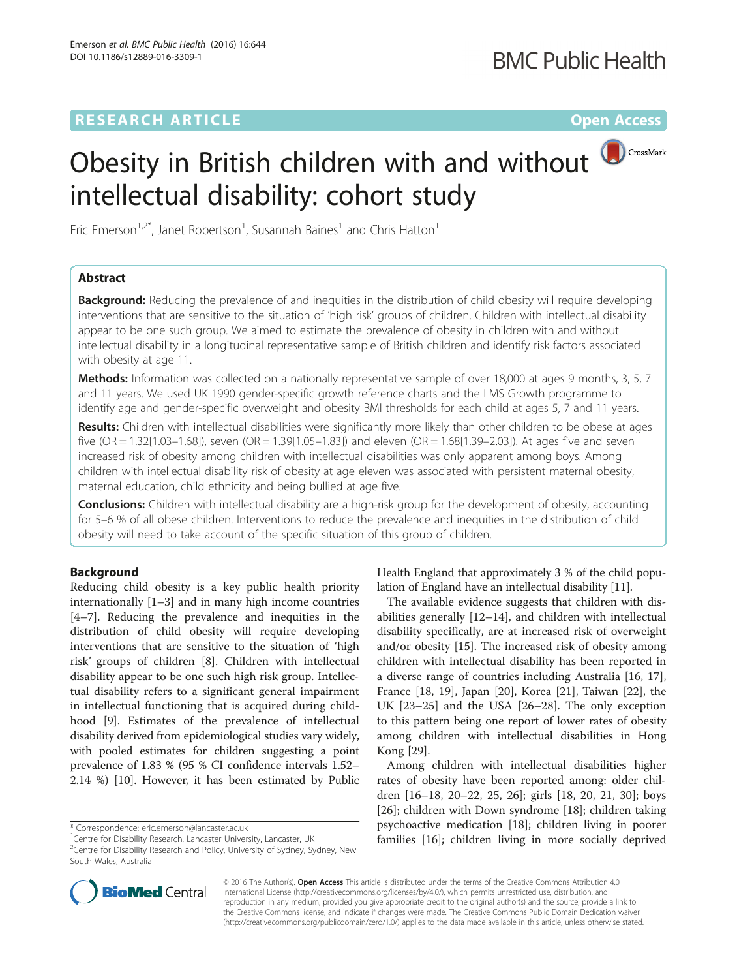# **RESEARCH ARTICLE Example 2014 12:30 The Contract of Contract ACCESS**

# Obesity in British children with and without intellectual disability: cohort study



Eric Emerson<sup>1,2\*</sup>, Janet Robertson<sup>1</sup>, Susannah Baines<sup>1</sup> and Chris Hatton<sup>1</sup>

# Abstract

**Background:** Reducing the prevalence of and inequities in the distribution of child obesity will require developing interventions that are sensitive to the situation of 'high risk' groups of children. Children with intellectual disability appear to be one such group. We aimed to estimate the prevalence of obesity in children with and without intellectual disability in a longitudinal representative sample of British children and identify risk factors associated with obesity at age 11.

Methods: Information was collected on a nationally representative sample of over 18,000 at ages 9 months, 3, 5, 7 and 11 years. We used UK 1990 gender-specific growth reference charts and the LMS Growth programme to identify age and gender-specific overweight and obesity BMI thresholds for each child at ages 5, 7 and 11 years.

Results: Children with intellectual disabilities were significantly more likely than other children to be obese at ages five (OR = 1.32[1.03–1.68]), seven (OR = 1.39[1.05–1.83]) and eleven (OR = 1.68[1.39–2.03]). At ages five and seven increased risk of obesity among children with intellectual disabilities was only apparent among boys. Among children with intellectual disability risk of obesity at age eleven was associated with persistent maternal obesity, maternal education, child ethnicity and being bullied at age five.

**Conclusions:** Children with intellectual disability are a high-risk group for the development of obesity, accounting for 5–6 % of all obese children. Interventions to reduce the prevalence and inequities in the distribution of child obesity will need to take account of the specific situation of this group of children.

# Background

Reducing child obesity is a key public health priority internationally [\[1](#page-8-0)–[3\]](#page-8-0) and in many high income countries [[4](#page-8-0)–[7\]](#page-8-0). Reducing the prevalence and inequities in the distribution of child obesity will require developing interventions that are sensitive to the situation of 'high risk' groups of children [\[8\]](#page-8-0). Children with intellectual disability appear to be one such high risk group. Intellectual disability refers to a significant general impairment in intellectual functioning that is acquired during childhood [[9\]](#page-8-0). Estimates of the prevalence of intellectual disability derived from epidemiological studies vary widely, with pooled estimates for children suggesting a point prevalence of 1.83 % (95 % CI confidence intervals 1.52– 2.14 %) [\[10](#page-8-0)]. However, it has been estimated by Public

Health England that approximately 3 % of the child population of England have an intellectual disability [[11](#page-8-0)].

The available evidence suggests that children with disabilities generally [\[12](#page-8-0)–[14\]](#page-8-0), and children with intellectual disability specifically, are at increased risk of overweight and/or obesity [\[15](#page-8-0)]. The increased risk of obesity among children with intellectual disability has been reported in a diverse range of countries including Australia [\[16, 17](#page-8-0)], France [[18, 19](#page-8-0)], Japan [[20](#page-9-0)], Korea [\[21](#page-9-0)], Taiwan [[22\]](#page-9-0), the UK [[23](#page-9-0)–[25](#page-9-0)] and the USA [[26](#page-9-0)–[28](#page-9-0)]. The only exception to this pattern being one report of lower rates of obesity among children with intellectual disabilities in Hong Kong [[29](#page-9-0)].

Among children with intellectual disabilities higher rates of obesity have been reported among: older children [[16](#page-8-0)–[18](#page-8-0), [20](#page-9-0)–[22, 25, 26\]](#page-9-0); girls [\[18](#page-8-0), [20](#page-9-0), [21, 30\]](#page-9-0); boys [[26\]](#page-9-0); children with Down syndrome [\[18](#page-8-0)]; children taking psychoactive medication [\[18\]](#page-8-0); children living in poorer families [\[16\]](#page-8-0); children living in more socially deprived



© 2016 The Author(s). Open Access This article is distributed under the terms of the Creative Commons Attribution 4.0 International License [\(http://creativecommons.org/licenses/by/4.0/](http://creativecommons.org/licenses/by/4.0/)), which permits unrestricted use, distribution, and reproduction in any medium, provided you give appropriate credit to the original author(s) and the source, provide a link to the Creative Commons license, and indicate if changes were made. The Creative Commons Public Domain Dedication waiver [\(http://creativecommons.org/publicdomain/zero/1.0/](http://creativecommons.org/publicdomain/zero/1.0/)) applies to the data made available in this article, unless otherwise stated.

<sup>\*</sup> Correspondence: [eric.emerson@lancaster.ac.uk](mailto:eric.emerson@lancaster.ac.uk) <sup>1</sup>

<sup>&</sup>lt;sup>1</sup> Centre for Disability Research, Lancaster University, Lancaster, UK

<sup>&</sup>lt;sup>2</sup> Centre for Disability Research and Policy, University of Sydney, Sydney, New South Wales, Australia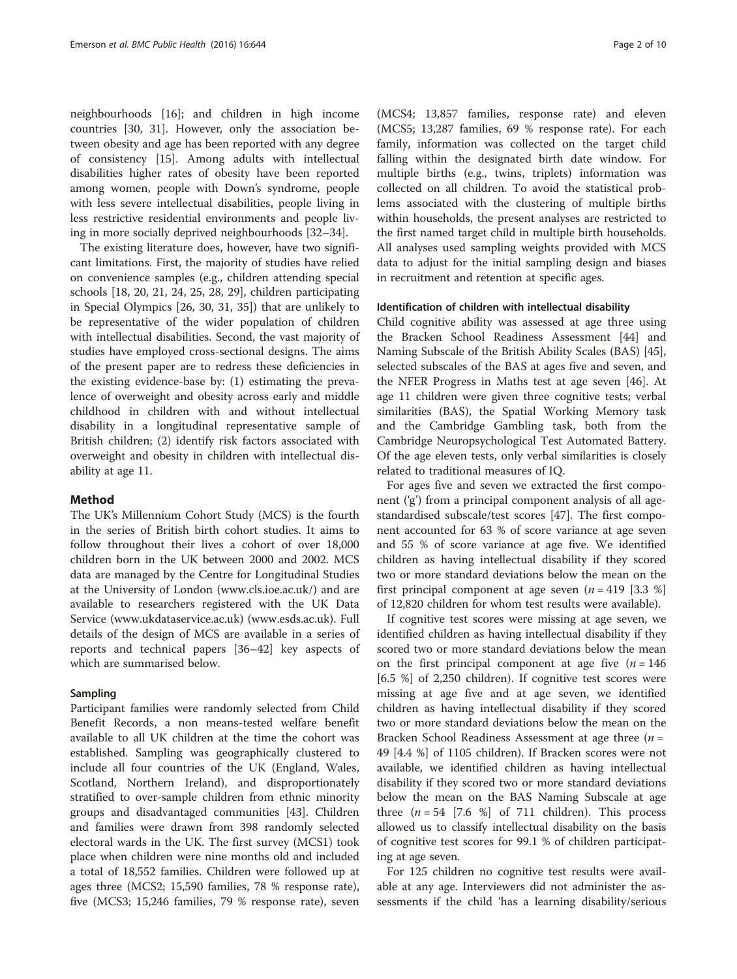neighbourhoods [[16](#page-8-0)]; and children in high income countries [\[30](#page-9-0), [31\]](#page-9-0). However, only the association between obesity and age has been reported with any degree of consistency [[15\]](#page-8-0). Among adults with intellectual disabilities higher rates of obesity have been reported among women, people with Down's syndrome, people with less severe intellectual disabilities, people living in less restrictive residential environments and people living in more socially deprived neighbourhoods [[32](#page-9-0)–[34](#page-9-0)].

The existing literature does, however, have two significant limitations. First, the majority of studies have relied on convenience samples (e.g., children attending special schools [\[18,](#page-8-0) [20](#page-9-0), [21](#page-9-0), [24](#page-9-0), [25, 28, 29\]](#page-9-0), children participating in Special Olympics [[26](#page-9-0), [30, 31](#page-9-0), [35\]](#page-9-0)) that are unlikely to be representative of the wider population of children with intellectual disabilities. Second, the vast majority of studies have employed cross-sectional designs. The aims of the present paper are to redress these deficiencies in the existing evidence-base by: (1) estimating the prevalence of overweight and obesity across early and middle childhood in children with and without intellectual disability in a longitudinal representative sample of British children; (2) identify risk factors associated with overweight and obesity in children with intellectual disability at age 11.

# Method

The UK's Millennium Cohort Study (MCS) is the fourth in the series of British birth cohort studies. It aims to follow throughout their lives a cohort of over 18,000 children born in the UK between 2000 and 2002. MCS data are managed by the Centre for Longitudinal Studies at the University of London ([www.cls.ioe.ac.uk/](http://www.cls.ioe.ac.uk/)) and are available to researchers registered with the UK Data Service [\(www.ukdataservice.ac.uk\)](http://www.ukdataservice.ac.uk) [\(www.esds.ac.uk\)](http://www.esds.ac.uk/). Full details of the design of MCS are available in a series of reports and technical papers [\[36](#page-9-0)–[42\]](#page-9-0) key aspects of which are summarised below.

# Sampling

Participant families were randomly selected from Child Benefit Records, a non means-tested welfare benefit available to all UK children at the time the cohort was established. Sampling was geographically clustered to include all four countries of the UK (England, Wales, Scotland, Northern Ireland), and disproportionately stratified to over-sample children from ethnic minority groups and disadvantaged communities [\[43](#page-9-0)]. Children and families were drawn from 398 randomly selected electoral wards in the UK. The first survey (MCS1) took place when children were nine months old and included a total of 18,552 families. Children were followed up at ages three (MCS2; 15,590 families, 78 % response rate), five (MCS3; 15,246 families, 79 % response rate), seven

(MCS4; 13,857 families, response rate) and eleven (MCS5; 13,287 families, 69 % response rate). For each family, information was collected on the target child falling within the designated birth date window. For multiple births (e.g., twins, triplets) information was collected on all children. To avoid the statistical problems associated with the clustering of multiple births within households, the present analyses are restricted to the first named target child in multiple birth households. All analyses used sampling weights provided with MCS data to adjust for the initial sampling design and biases in recruitment and retention at specific ages.

# Identification of children with intellectual disability

Child cognitive ability was assessed at age three using the Bracken School Readiness Assessment [[44](#page-9-0)] and Naming Subscale of the British Ability Scales (BAS) [\[45](#page-9-0)], selected subscales of the BAS at ages five and seven, and the NFER Progress in Maths test at age seven [\[46\]](#page-9-0). At age 11 children were given three cognitive tests; verbal similarities (BAS), the Spatial Working Memory task and the Cambridge Gambling task, both from the Cambridge Neuropsychological Test Automated Battery. Of the age eleven tests, only verbal similarities is closely related to traditional measures of IQ.

For ages five and seven we extracted the first component ('g') from a principal component analysis of all agestandardised subscale/test scores [[47\]](#page-9-0). The first component accounted for 63 % of score variance at age seven and 55 % of score variance at age five. We identified children as having intellectual disability if they scored two or more standard deviations below the mean on the first principal component at age seven  $(n = 419 \; [3.3 \; \%])$ of 12,820 children for whom test results were available).

If cognitive test scores were missing at age seven, we identified children as having intellectual disability if they scored two or more standard deviations below the mean on the first principal component at age five  $(n = 146)$ [6.5 %] of 2,250 children). If cognitive test scores were missing at age five and at age seven, we identified children as having intellectual disability if they scored two or more standard deviations below the mean on the Bracken School Readiness Assessment at age three  $(n =$ 49 [4.4 %] of 1105 children). If Bracken scores were not available, we identified children as having intellectual disability if they scored two or more standard deviations below the mean on the BAS Naming Subscale at age three  $(n = 54$  [7.6 %] of 711 children). This process allowed us to classify intellectual disability on the basis of cognitive test scores for 99.1 % of children participating at age seven.

For 125 children no cognitive test results were available at any age. Interviewers did not administer the assessments if the child 'has a learning disability/serious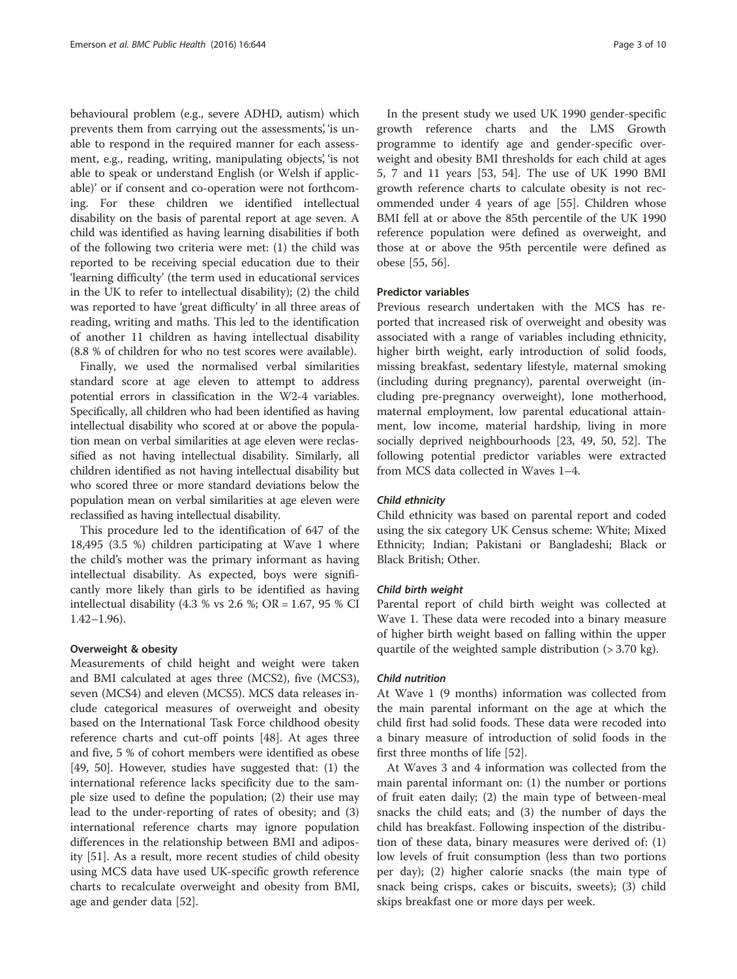behavioural problem (e.g., severe ADHD, autism) which prevents them from carrying out the assessments', 'is unable to respond in the required manner for each assessment, e.g., reading, writing, manipulating objects', 'is not able to speak or understand English (or Welsh if applicable)' or if consent and co-operation were not forthcoming. For these children we identified intellectual disability on the basis of parental report at age seven. A child was identified as having learning disabilities if both of the following two criteria were met: (1) the child was reported to be receiving special education due to their 'learning difficulty' (the term used in educational services in the UK to refer to intellectual disability); (2) the child was reported to have 'great difficulty' in all three areas of reading, writing and maths. This led to the identification of another 11 children as having intellectual disability (8.8 % of children for who no test scores were available).

Finally, we used the normalised verbal similarities standard score at age eleven to attempt to address potential errors in classification in the W2-4 variables. Specifically, all children who had been identified as having intellectual disability who scored at or above the population mean on verbal similarities at age eleven were reclassified as not having intellectual disability. Similarly, all children identified as not having intellectual disability but who scored three or more standard deviations below the population mean on verbal similarities at age eleven were reclassified as having intellectual disability.

This procedure led to the identification of 647 of the 18,495 (3.5 %) children participating at Wave 1 where the child's mother was the primary informant as having intellectual disability. As expected, boys were significantly more likely than girls to be identified as having intellectual disability (4.3 % vs 2.6 %; OR = 1.67, 95 % CI 1.42–1.96).

# Overweight & obesity

Measurements of child height and weight were taken and BMI calculated at ages three (MCS2), five (MCS3), seven (MCS4) and eleven (MCS5). MCS data releases include categorical measures of overweight and obesity based on the International Task Force childhood obesity reference charts and cut-off points [\[48\]](#page-9-0). At ages three and five, 5 % of cohort members were identified as obese [[49, 50](#page-9-0)]. However, studies have suggested that: (1) the international reference lacks specificity due to the sample size used to define the population; (2) their use may lead to the under-reporting of rates of obesity; and (3) international reference charts may ignore population differences in the relationship between BMI and adiposity [\[51](#page-9-0)]. As a result, more recent studies of child obesity using MCS data have used UK-specific growth reference charts to recalculate overweight and obesity from BMI, age and gender data [\[52\]](#page-9-0).

In the present study we used UK 1990 gender-specific growth reference charts and the LMS Growth programme to identify age and gender-specific overweight and obesity BMI thresholds for each child at ages 5, 7 and 11 years [\[53, 54\]](#page-9-0). The use of UK 1990 BMI growth reference charts to calculate obesity is not recommended under 4 years of age [[55\]](#page-9-0). Children whose BMI fell at or above the 85th percentile of the UK 1990 reference population were defined as overweight, and those at or above the 95th percentile were defined as obese [[55](#page-9-0), [56](#page-9-0)].

# Predictor variables

Previous research undertaken with the MCS has reported that increased risk of overweight and obesity was associated with a range of variables including ethnicity, higher birth weight, early introduction of solid foods, missing breakfast, sedentary lifestyle, maternal smoking (including during pregnancy), parental overweight (including pre-pregnancy overweight), lone motherhood, maternal employment, low parental educational attainment, low income, material hardship, living in more socially deprived neighbourhoods [[23, 49](#page-9-0), [50, 52](#page-9-0)]. The following potential predictor variables were extracted from MCS data collected in Waves 1–4.

# Child ethnicity

Child ethnicity was based on parental report and coded using the six category UK Census scheme: White; Mixed Ethnicity; Indian; Pakistani or Bangladeshi; Black or Black British; Other.

#### Child birth weight

Parental report of child birth weight was collected at Wave 1. These data were recoded into a binary measure of higher birth weight based on falling within the upper quartile of the weighted sample distribution (> 3.70 kg).

## Child nutrition

At Wave 1 (9 months) information was collected from the main parental informant on the age at which the child first had solid foods. These data were recoded into a binary measure of introduction of solid foods in the first three months of life [[52\]](#page-9-0).

At Waves 3 and 4 information was collected from the main parental informant on: (1) the number or portions of fruit eaten daily; (2) the main type of between-meal snacks the child eats; and (3) the number of days the child has breakfast. Following inspection of the distribution of these data, binary measures were derived of: (1) low levels of fruit consumption (less than two portions per day); (2) higher calorie snacks (the main type of snack being crisps, cakes or biscuits, sweets); (3) child skips breakfast one or more days per week.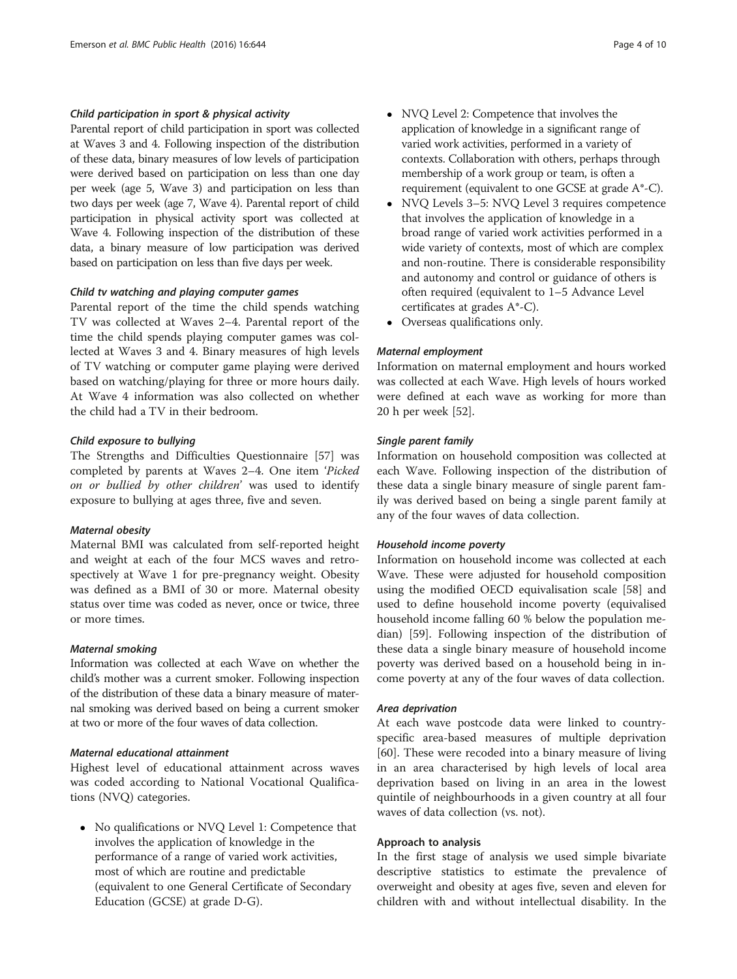# Child participation in sport & physical activity

Parental report of child participation in sport was collected at Waves 3 and 4. Following inspection of the distribution of these data, binary measures of low levels of participation were derived based on participation on less than one day per week (age 5, Wave 3) and participation on less than two days per week (age 7, Wave 4). Parental report of child participation in physical activity sport was collected at Wave 4. Following inspection of the distribution of these data, a binary measure of low participation was derived based on participation on less than five days per week.

# Child tv watching and playing computer games

Parental report of the time the child spends watching TV was collected at Waves 2–4. Parental report of the time the child spends playing computer games was collected at Waves 3 and 4. Binary measures of high levels of TV watching or computer game playing were derived based on watching/playing for three or more hours daily. At Wave 4 information was also collected on whether the child had a TV in their bedroom.

# Child exposure to bullying

The Strengths and Difficulties Questionnaire [\[57](#page-9-0)] was completed by parents at Waves 2–4. One item 'Picked on or bullied by other children' was used to identify exposure to bullying at ages three, five and seven.

# Maternal obesity

Maternal BMI was calculated from self-reported height and weight at each of the four MCS waves and retrospectively at Wave 1 for pre-pregnancy weight. Obesity was defined as a BMI of 30 or more. Maternal obesity status over time was coded as never, once or twice, three or more times.

## Maternal smoking

Information was collected at each Wave on whether the child's mother was a current smoker. Following inspection of the distribution of these data a binary measure of maternal smoking was derived based on being a current smoker at two or more of the four waves of data collection.

# Maternal educational attainment

Highest level of educational attainment across waves was coded according to National Vocational Qualifications (NVQ) categories.

• No qualifications or NVQ Level 1: Competence that involves the application of knowledge in the performance of a range of varied work activities, most of which are routine and predictable (equivalent to one General Certificate of Secondary Education (GCSE) at grade D-G).

- NVQ Level 2: Competence that involves the application of knowledge in a significant range of varied work activities, performed in a variety of contexts. Collaboration with others, perhaps through membership of a work group or team, is often a requirement (equivalent to one GCSE at grade A\*-C).
- NVQ Levels 3–5: NVQ Level 3 requires competence that involves the application of knowledge in a broad range of varied work activities performed in a wide variety of contexts, most of which are complex and non-routine. There is considerable responsibility and autonomy and control or guidance of others is often required (equivalent to 1–5 Advance Level certificates at grades A\*-C).
- Overseas qualifications only.

# Maternal employment

Information on maternal employment and hours worked was collected at each Wave. High levels of hours worked were defined at each wave as working for more than 20 h per week [[52](#page-9-0)].

# Single parent family

Information on household composition was collected at each Wave. Following inspection of the distribution of these data a single binary measure of single parent family was derived based on being a single parent family at any of the four waves of data collection.

#### Household income poverty

Information on household income was collected at each Wave. These were adjusted for household composition using the modified OECD equivalisation scale [\[58](#page-9-0)] and used to define household income poverty (equivalised household income falling 60 % below the population median) [[59\]](#page-9-0). Following inspection of the distribution of these data a single binary measure of household income poverty was derived based on a household being in income poverty at any of the four waves of data collection.

# Area deprivation

At each wave postcode data were linked to countryspecific area-based measures of multiple deprivation [[60\]](#page-9-0). These were recoded into a binary measure of living in an area characterised by high levels of local area deprivation based on living in an area in the lowest quintile of neighbourhoods in a given country at all four waves of data collection (vs. not).

# Approach to analysis

In the first stage of analysis we used simple bivariate descriptive statistics to estimate the prevalence of overweight and obesity at ages five, seven and eleven for children with and without intellectual disability. In the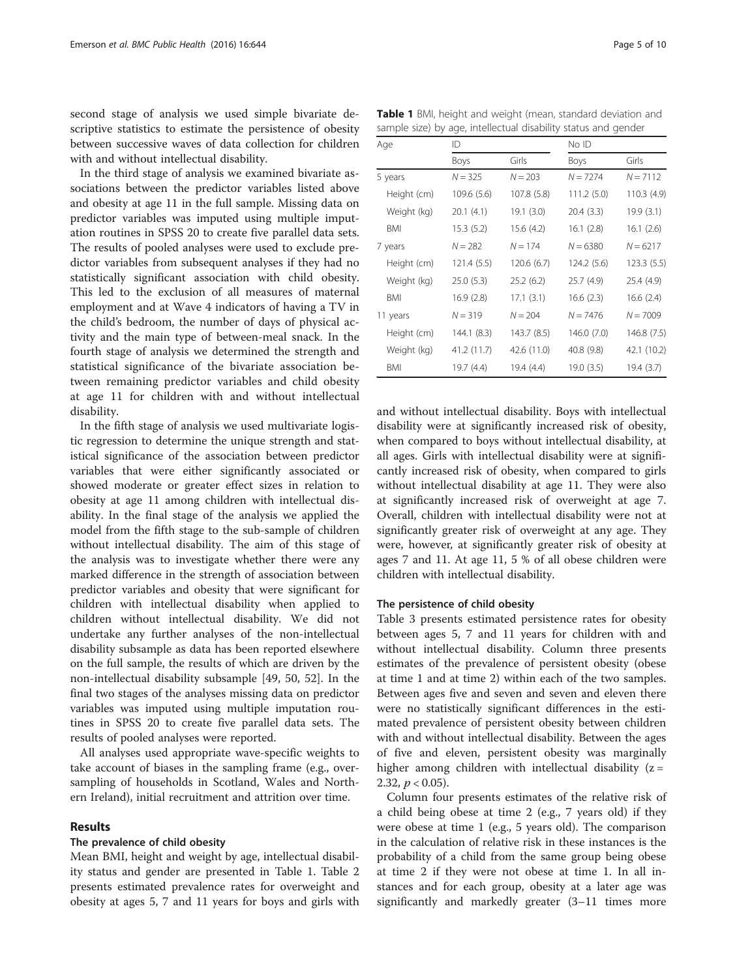second stage of analysis we used simple bivariate descriptive statistics to estimate the persistence of obesity between successive waves of data collection for children with and without intellectual disability.

In the third stage of analysis we examined bivariate associations between the predictor variables listed above and obesity at age 11 in the full sample. Missing data on predictor variables was imputed using multiple imputation routines in SPSS 20 to create five parallel data sets. The results of pooled analyses were used to exclude predictor variables from subsequent analyses if they had no statistically significant association with child obesity. This led to the exclusion of all measures of maternal employment and at Wave 4 indicators of having a TV in the child's bedroom, the number of days of physical activity and the main type of between-meal snack. In the fourth stage of analysis we determined the strength and statistical significance of the bivariate association between remaining predictor variables and child obesity at age 11 for children with and without intellectual disability.

In the fifth stage of analysis we used multivariate logistic regression to determine the unique strength and statistical significance of the association between predictor variables that were either significantly associated or showed moderate or greater effect sizes in relation to obesity at age 11 among children with intellectual disability. In the final stage of the analysis we applied the model from the fifth stage to the sub-sample of children without intellectual disability. The aim of this stage of the analysis was to investigate whether there were any marked difference in the strength of association between predictor variables and obesity that were significant for children with intellectual disability when applied to children without intellectual disability. We did not undertake any further analyses of the non-intellectual disability subsample as data has been reported elsewhere on the full sample, the results of which are driven by the non-intellectual disability subsample [[49, 50](#page-9-0), [52](#page-9-0)]. In the final two stages of the analyses missing data on predictor variables was imputed using multiple imputation routines in SPSS 20 to create five parallel data sets. The results of pooled analyses were reported.

All analyses used appropriate wave-specific weights to take account of biases in the sampling frame (e.g., oversampling of households in Scotland, Wales and Northern Ireland), initial recruitment and attrition over time.

#### Results

# The prevalence of child obesity

Mean BMI, height and weight by age, intellectual disability status and gender are presented in Table 1. Table [2](#page-5-0) presents estimated prevalence rates for overweight and obesity at ages 5, 7 and 11 years for boys and girls with

Table 1 BMI, height and weight (mean, standard deviation and sample size) by age, intellectual disability status and gender

| Age         | ID          |             | No ID       |             |  |
|-------------|-------------|-------------|-------------|-------------|--|
|             | Boys        | Girls       | Boys        | Girls       |  |
| 5 years     | $N = 325$   | $N = 203$   | $N = 7274$  | $N = 7112$  |  |
| Height (cm) | 109.6 (5.6) | 107.8 (5.8) | 111.2(5.0)  | 110.3 (4.9) |  |
| Weight (kg) | 20.1(4.1)   | 19.1(3.0)   | 20.4 (3.3)  | 19.9(3.1)   |  |
| <b>BMI</b>  | 15.3(5.2)   | 15.6(4.2)   | 16.1(2.8)   | 16.1(2.6)   |  |
| 7 years     | $N = 282$   | $N = 174$   | $N = 6380$  | $N = 6217$  |  |
| Height (cm) | 121.4 (5.5) | 120.6 (6.7) | 124.2 (5.6) | 123.3(5.5)  |  |
| Weight (kg) | 25.0(5.3)   | 25.2(6.2)   | 25.7 (4.9)  | 25.4 (4.9)  |  |
| BMI         | 16.9(2.8)   | 17.1(3.1)   | 16.6(2.3)   | 16.6(2.4)   |  |
| 11 years    | $N = 319$   | $N = 204$   | $N = 7476$  | $N = 7009$  |  |
| Height (cm) | 144.1 (8.3) | 143.7(8.5)  | 146.0 (7.0) | 146.8 (7.5) |  |
| Weight (kg) | 41.2 (11.7) | 42.6 (11.0) | 40.8 (9.8)  | 42.1 (10.2) |  |
| BMI         | 19.7 (4.4)  | 19.4 (4.4)  | 19.0(3.5)   | 19.4 (3.7)  |  |

and without intellectual disability. Boys with intellectual disability were at significantly increased risk of obesity, when compared to boys without intellectual disability, at all ages. Girls with intellectual disability were at significantly increased risk of obesity, when compared to girls without intellectual disability at age 11. They were also at significantly increased risk of overweight at age 7. Overall, children with intellectual disability were not at significantly greater risk of overweight at any age. They were, however, at significantly greater risk of obesity at ages 7 and 11. At age 11, 5 % of all obese children were children with intellectual disability.

# The persistence of child obesity

Table [3](#page-5-0) presents estimated persistence rates for obesity between ages 5, 7 and 11 years for children with and without intellectual disability. Column three presents estimates of the prevalence of persistent obesity (obese at time 1 and at time 2) within each of the two samples. Between ages five and seven and seven and eleven there were no statistically significant differences in the estimated prevalence of persistent obesity between children with and without intellectual disability. Between the ages of five and eleven, persistent obesity was marginally higher among children with intellectual disability  $(z =$ 2.32,  $p < 0.05$ ).

Column four presents estimates of the relative risk of a child being obese at time 2 (e.g., 7 years old) if they were obese at time 1 (e.g., 5 years old). The comparison in the calculation of relative risk in these instances is the probability of a child from the same group being obese at time 2 if they were not obese at time 1. In all instances and for each group, obesity at a later age was significantly and markedly greater (3–11 times more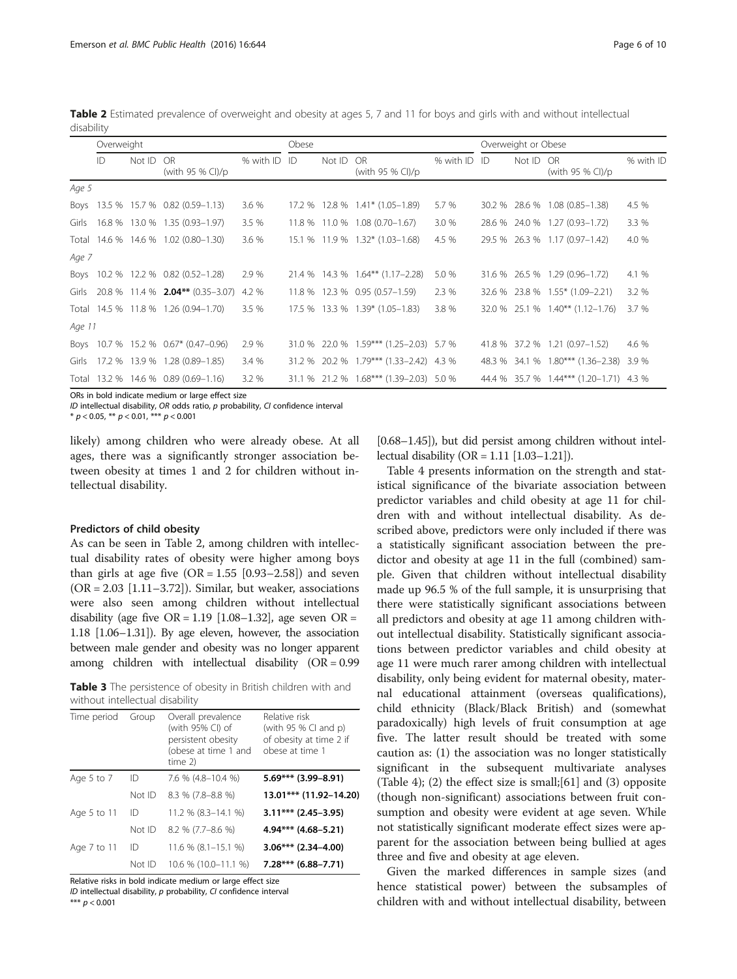<span id="page-5-0"></span>Table 2 Estimated prevalence of overweight and obesity at ages 5, 7 and 11 for boys and girls with and without intellectual disability

| Overweight |    | Obese  |                                      |              | Overweight or Obese |        |                                  |              |  |        |                                         |           |
|------------|----|--------|--------------------------------------|--------------|---------------------|--------|----------------------------------|--------------|--|--------|-----------------------------------------|-----------|
|            | ID | Not ID | <b>OR</b><br>(with 95 % CI)/p        | % with ID ID |                     | Not ID | OR.<br>(with 95 % CI)/p          | % with ID ID |  | Not ID | OR<br>(with 95 % CI)/p                  | % with ID |
| Age 5      |    |        |                                      |              |                     |        |                                  |              |  |        |                                         |           |
| Boys       |    |        | 13.5 % 15.7 % 0.82 (0.59-1.13)       | 3.6 %        |                     |        | 17.2 % 12.8 % 1.41* (1.05-1.89)  | 5.7 %        |  |        | 30.2 % 28.6 % 1.08 (0.85-1.38)          | 4.5 %     |
| Girls      |    |        | 16.8 % 13.0 % 1.35 (0.93-1.97)       | 3.5 %        |                     |        | 11.8 % 11.0 % 1.08 (0.70-1.67)   | 3.0%         |  |        | 28.6 % 24.0 % 1.27 (0.93-1.72)          | 3.3 %     |
| Total      |    |        | 14.6 % 14.6 % 1.02 (0.80-1.30)       | 3.6 %        |                     |        | 15.1 % 11.9 % 1.32* (1.03-1.68)  | 4.5 %        |  |        | 29.5 % 26.3 % 1.17 (0.97-1.42)          | 4.0 %     |
| Age 7      |    |        |                                      |              |                     |        |                                  |              |  |        |                                         |           |
| Boys       |    |        | 10.2 % 12.2 % 0.82 (0.52-1.28)       | 2.9 %        | 21.4 %              |        | 14.3 % 1.64** (1.17–2.28)        | 5.0 %        |  |        | 31.6 % 26.5 % 1.29 (0.96-1.72)          | 4.1 %     |
| Girls      |    |        | 20.8 % 11.4 % 2.04** (0.35–3.07)     | 4.2 %        |                     |        | 11.8 % 12.3 % 0.95 (0.57-1.59)   | 2.3 %        |  |        | 32.6 % 23.8 % 1.55* (1.09-2.21)         | 3.2%      |
|            |    |        | Total 14.5 % 11.8 % 1.26 (0.94-1.70) | 3.5%         |                     |        | 17.5 % 13.3 % 1.39* (1.05-1.83)  | 3.8 %        |  |        | 32.0 % 25.1 % 1.40** (1.12-1.76)        | 3.7 %     |
| Age 11     |    |        |                                      |              |                     |        |                                  |              |  |        |                                         |           |
| Boys       |    |        | 10.7 % 15.2 % 0.67* (0.47-0.96)      | 2.9 %        | 31.0 %              |        | 22.0 % 1.59*** (1.25-2.03) 5.7 % |              |  |        | 41.8 % 37.2 % 1.21 (0.97-1.52)          | 4.6 %     |
| Girls      |    |        | 17.2 % 13.9 % 1.28 (0.89-1.85)       | 3.4%         | 31.2 %              |        | 20.2 % 1.79*** (1.33-2.42) 4.3 % |              |  |        | 48.3 % 34.1 % 1.80*** (1.36–2.38)       | 3.9 %     |
| Total      |    |        | 13.2 % 14.6 % 0.89 (0.69-1.16)       | 3.2 %        | 31.1 %              |        | 21.2 % 1.68*** (1.39-2.03) 5.0 % |              |  |        | 44.4 % 35.7 % 1.44*** (1.20-1.71) 4.3 % |           |

ORs in bold indicate medium or large effect size

ID intellectual disability, OR odds ratio, p probability, CI confidence interval

\*  $p < 0.05$ , \*\*  $p < 0.01$ , \*\*\*  $p < 0.001$ 

likely) among children who were already obese. At all ages, there was a significantly stronger association between obesity at times 1 and 2 for children without intellectual disability.

#### Predictors of child obesity

As can be seen in Table 2, among children with intellectual disability rates of obesity were higher among boys than girls at age five  $(OR = 1.55 [0.93-2.58])$  and seven  $(OR = 2.03$  [1.11–3.72]). Similar, but weaker, associations were also seen among children without intellectual disability (age five  $OR = 1.19$  [1.08–1.32], age seven  $OR =$ 1.18 [1.06–1.31]). By age eleven, however, the association between male gender and obesity was no longer apparent among children with intellectual disability (OR = 0.99

Table 3 The persistence of obesity in British children with and without intellectual disability

| Time period | Group  | Overall prevalence<br>(with 95% CI) of<br>persistent obesity<br>(obese at time 1 and<br>time $2$ ) | Relative risk<br>(with $95%$ Cl and p)<br>of obesity at time 2 if<br>obese at time 1 |
|-------------|--------|----------------------------------------------------------------------------------------------------|--------------------------------------------------------------------------------------|
| Age 5 to 7  | ID     | 7.6 % (4.8-10.4 %)                                                                                 | $5.69***$ (3.99-8.91)                                                                |
|             | Not ID | 8.3 % (7.8-8.8 %)                                                                                  | 13.01*** (11.92-14.20)                                                               |
| Age 5 to 11 | ID     | 11.2 % (8.3-14.1 %)                                                                                | $3.11***$ (2.45-3.95)                                                                |
|             | Not ID | $8.2\%$ (7.7-8.6 %)                                                                                | $4.94***$ $(4.68-5.21)$                                                              |
| Age 7 to 11 | ID     | 11.6 % (8.1-15.1 %)                                                                                | $3.06***$ (2.34-4.00)                                                                |
|             | Not ID | 10.6 % (10.0-11.1 %)                                                                               | $7.28***$ (6.88-7.71)                                                                |

Relative risks in bold indicate medium or large effect size ID intellectual disability, p probability, CI confidence interval

\*\*\*  $p < 0.001$ 

[0.68–1.45]), but did persist among children without intellectual disability (OR =  $1.11$  [1.03–1.21]).

Table [4](#page-6-0) presents information on the strength and statistical significance of the bivariate association between predictor variables and child obesity at age 11 for children with and without intellectual disability. As described above, predictors were only included if there was a statistically significant association between the predictor and obesity at age 11 in the full (combined) sample. Given that children without intellectual disability made up 96.5 % of the full sample, it is unsurprising that there were statistically significant associations between all predictors and obesity at age 11 among children without intellectual disability. Statistically significant associations between predictor variables and child obesity at age 11 were much rarer among children with intellectual disability, only being evident for maternal obesity, maternal educational attainment (overseas qualifications), child ethnicity (Black/Black British) and (somewhat paradoxically) high levels of fruit consumption at age five. The latter result should be treated with some caution as: (1) the association was no longer statistically significant in the subsequent multivariate analyses (Table [4\)](#page-6-0); (2) the effect size is small;[[61\]](#page-9-0) and (3) opposite (though non-significant) associations between fruit consumption and obesity were evident at age seven. While not statistically significant moderate effect sizes were apparent for the association between being bullied at ages three and five and obesity at age eleven.

Given the marked differences in sample sizes (and hence statistical power) between the subsamples of children with and without intellectual disability, between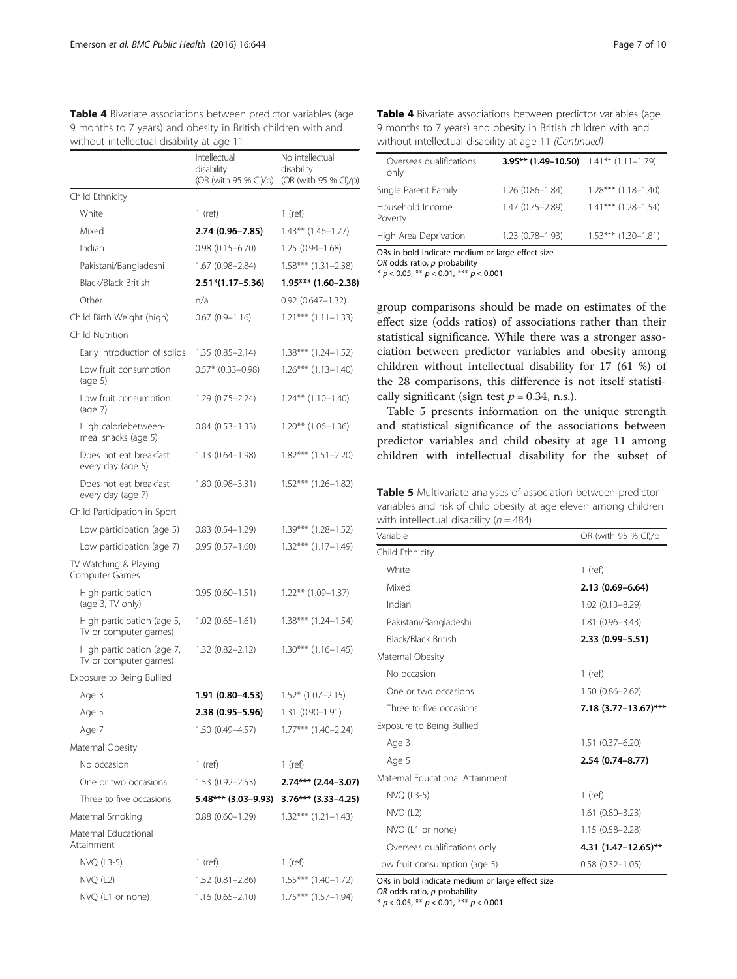<span id="page-6-0"></span>Table 4 Bivariate associations between predictor variables (age 9 months to 7 years) and obesity in British children with and without intellectual disability at age 11

| without intellectual disability at age TT           |                                                     |                                                        |
|-----------------------------------------------------|-----------------------------------------------------|--------------------------------------------------------|
|                                                     | Intellectual<br>disability<br>(OR (with 95 % CI)/p) | No intellectual<br>disability<br>(OR (with 95 % CI)/p) |
| Child Ethnicity                                     |                                                     |                                                        |
| White                                               | 1 (ref)                                             | 1 (ref)                                                |
| Mixed                                               | 2.74 (0.96-7.85)                                    | $1.43***$ $(1.46-1.77)$                                |
| Indian                                              | $0.98(0.15 - 6.70)$                                 | $1.25(0.94 - 1.68)$                                    |
| Pakistani/Bangladeshi                               | $1.67(0.98 - 2.84)$                                 | $1.58***$ $(1.31-2.38)$                                |
| Black/Black British                                 | $2.51*(1.17-5.36)$                                  | $1.95***$ (1.60-2.38)                                  |
| Other                                               | n/a                                                 | $0.92(0.647 - 1.32)$                                   |
| Child Birth Weight (high)                           | $0.67(0.9 - 1.16)$                                  | $1.21***$ $(1.11-1.33)$                                |
| Child Nutrition                                     |                                                     |                                                        |
| Early introduction of solids                        | $1.35(0.85 - 2.14)$                                 | $1.38***$ $(1.24-1.52)$                                |
| Low fruit consumption<br>(aq <sub>e</sub> 5)        | $0.57*$ (0.33-0.98)                                 | $1.26***$ $(1.13-1.40)$                                |
| Low fruit consumption<br>$(\text{age } 7)$          | $1.29(0.75 - 2.24)$                                 | $1.24***$ $(1.10-1.40)$                                |
| High caloriebetween-<br>meal snacks (age 5)         | $0.84(0.53 - 1.33)$                                 | $1.20***$ $(1.06-1.36)$                                |
| Does not eat breakfast<br>every day (age 5)         | $1.13(0.64 - 1.98)$                                 | $1.82***$ $(1.51-2.20)$                                |
| Does not eat breakfast<br>every day (age 7)         | 1.80 (0.98-3.31)                                    | $1.52***$ $(1.26-1.82)$                                |
| Child Participation in Sport                        |                                                     |                                                        |
| Low participation (age 5)                           | $0.83(0.54 - 1.29)$                                 | $1.39***$ $(1.28-1.52)$                                |
| Low participation (age 7)                           | $0.95(0.57 - 1.60)$                                 | 1.32*** (1.17-1.49)                                    |
| TV Watching & Playing<br>Computer Games             |                                                     |                                                        |
| High participation<br>(age 3, TV only)              | $0.95(0.60 - 1.51)$                                 | $1.22***$ $(1.09-1.37)$                                |
| High participation (age 5,<br>TV or computer games) | $1.02(0.65 - 1.61)$                                 | $1.38***$ $(1.24-1.54)$                                |
| High participation (age 7,<br>TV or computer games) | $1.32(0.82 - 2.12)$                                 | $1.30***$ $(1.16-1.45)$                                |
| Exposure to Being Bullied                           |                                                     |                                                        |
| Age 3                                               | 1.91 (0.80-4.53)                                    | $1.52*(1.07-2.15)$                                     |
| Age 5                                               | 2.38 (0.95-5.96)                                    | $1.31(0.90 - 1.91)$                                    |
| Age 7                                               | 1.50 (0.49–4.57)                                    | $1.77***$ $(1.40-2.24)$                                |
| Maternal Obesity                                    |                                                     |                                                        |
| No occasion                                         | 1 (ref)                                             | 1 (ref)                                                |
| One or two occasions                                | 1.53 (0.92–2.53)                                    | $2.74***$ (2.44-3.07)                                  |
| Three to five occasions                             | 5.48*** (3.03–9.93)                                 | $3.76***$ (3.33–4.25)                                  |
| Maternal Smoking                                    | $0.88(0.60-1.29)$                                   | $1.32***$ $(1.21-1.43)$                                |
| Maternal Educational<br>Attainment                  |                                                     |                                                        |
| NVQ (L3-5)                                          | $1$ (ref)                                           | 1 (ref)                                                |
| $NVO$ (L2)                                          | $1.52(0.81 - 2.86)$                                 | $1.55***$ $(1.40-1.72)$                                |
| NVQ (L1 or none)                                    | $1.16(0.65 - 2.10)$                                 | $1.75***$ $(1.57-1.94)$                                |

Table 4 Bivariate associations between predictor variables (age 9 months to 7 years) and obesity in British children with and without intellectual disability at age 11 (Continued)

| Overseas qualifications<br>only                                                                                                                                                                                                                                     | 3.95** $(1.49-10.50)$ 1.41** $(1.11-1.79)$ |                         |  |  |
|---------------------------------------------------------------------------------------------------------------------------------------------------------------------------------------------------------------------------------------------------------------------|--------------------------------------------|-------------------------|--|--|
| Single Parent Family                                                                                                                                                                                                                                                | $1.26(0.86 - 1.84)$                        | $1.28***$ $(1.18-1.40)$ |  |  |
| Household Income<br>Poverty                                                                                                                                                                                                                                         | 1.47 (0.75 - 2.89)                         | $1.41***$ (1.28-1.54)   |  |  |
| High Area Deprivation                                                                                                                                                                                                                                               | $1.23(0.78 - 1.93)$                        | $1.53***$ $(1.30-1.81)$ |  |  |
| $\bigcap_{i=1}^n A_i$ , and $\bigcap_{i=1}^n A_i$ , $A_i$ , $A_i$ , $A_i$ , $A_i$ , $A_i$ , $A_i$ , $A_i$ , $A_i$ , $A_i$ , $A_i$ , $A_i$ , $A_i$ , $A_i$ , $A_i$ , $A_i$ , $A_i$ , $A_i$ , $A_i$ , $A_i$ , $A_i$ , $A_i$ , $A_i$ , $A_i$ , $A_i$ , $A_i$ , $A_i$ , |                                            |                         |  |  |

ORs in bold indicate medium or large effect size

 $OR$  odds ratio,  $p$  probability

\*  $p < 0.05$ , \*\*  $p < 0.01$ , \*\*\*  $p < 0.001$ 

group comparisons should be made on estimates of the effect size (odds ratios) of associations rather than their statistical significance. While there was a stronger association between predictor variables and obesity among children without intellectual disability for 17 (61 %) of the 28 comparisons, this difference is not itself statistically significant (sign test  $p = 0.34$ , n.s.).

Table 5 presents information on the unique strength and statistical significance of the associations between predictor variables and child obesity at age 11 among children with intellectual disability for the subset of

Table 5 Multivariate analyses of association between predictor variables and risk of child obesity at age eleven among children with intellectual disability  $(n = 484)$ 

| Variable                        | OR (with 95 % CI)/p      |  |  |  |
|---------------------------------|--------------------------|--|--|--|
| Child Ethnicity                 |                          |  |  |  |
| White                           | $1$ (ref)                |  |  |  |
| Mixed                           | $2.13(0.69 - 6.64)$      |  |  |  |
| Indian                          | $1.02(0.13 - 8.29)$      |  |  |  |
| Pakistani/Bangladeshi           | 1.81 (0.96-3.43)         |  |  |  |
| <b>Black/Black British</b>      | 2.33 (0.99 - 5.51)       |  |  |  |
| Maternal Obesity                |                          |  |  |  |
| No occasion                     | $1$ (ref)                |  |  |  |
| One or two occasions            | $1.50(0.86 - 2.62)$      |  |  |  |
| Three to five occasions         | $7.18(3.77 - 13.67)$ *** |  |  |  |
| Exposure to Being Bullied       |                          |  |  |  |
| Age 3                           | $1.51(0.37 - 6.20)$      |  |  |  |
| Age 5                           | 2.54 (0.74-8.77)         |  |  |  |
| Maternal Educational Attainment |                          |  |  |  |
| NVQ (L3-5)                      | $1$ (ref)                |  |  |  |
| $NVO$ (L2)                      | $1.61(0.80 - 3.23)$      |  |  |  |
| NVQ (L1 or none)                | $1.15(0.58 - 2.28)$      |  |  |  |
| Overseas qualifications only    | $4.31(1.47 - 12.65)$ **  |  |  |  |
| Low fruit consumption (age 5)   | $0.58(0.32 - 1.05)$      |  |  |  |

ORs in bold indicate medium or large effect size  $OR$  odds ratio,  $p$  probability

\*  $p < 0.05$ , \*\*  $p < 0.01$ , \*\*\*  $p < 0.001$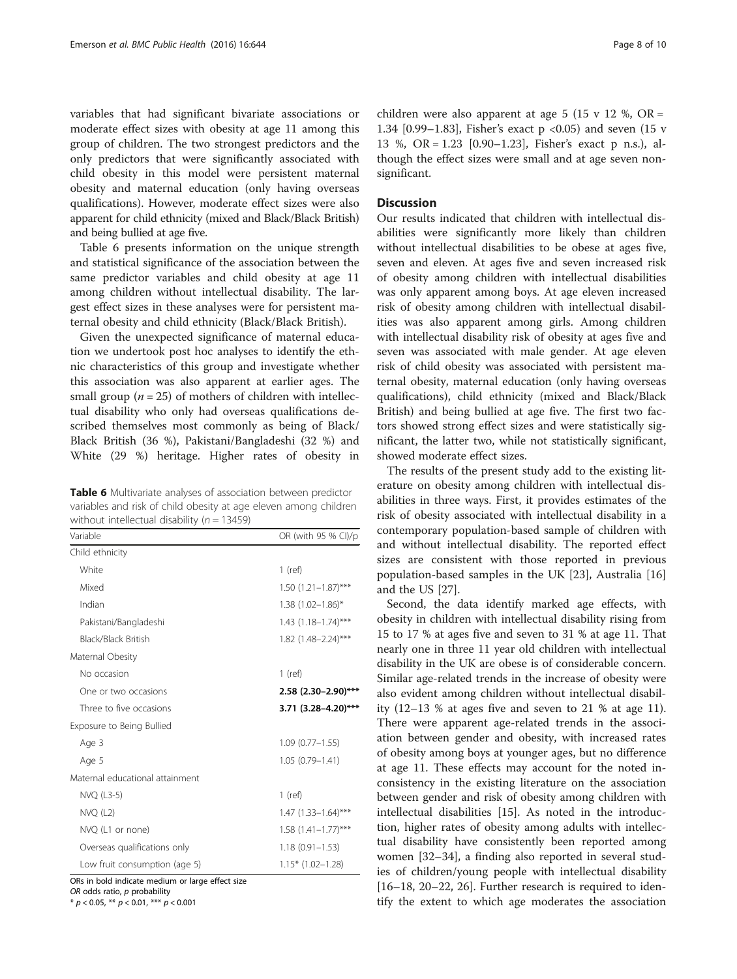variables that had significant bivariate associations or moderate effect sizes with obesity at age 11 among this group of children. The two strongest predictors and the only predictors that were significantly associated with child obesity in this model were persistent maternal obesity and maternal education (only having overseas qualifications). However, moderate effect sizes were also apparent for child ethnicity (mixed and Black/Black British) and being bullied at age five.

Table 6 presents information on the unique strength and statistical significance of the association between the same predictor variables and child obesity at age 11 among children without intellectual disability. The largest effect sizes in these analyses were for persistent maternal obesity and child ethnicity (Black/Black British).

Given the unexpected significance of maternal education we undertook post hoc analyses to identify the ethnic characteristics of this group and investigate whether this association was also apparent at earlier ages. The small group ( $n = 25$ ) of mothers of children with intellectual disability who only had overseas qualifications described themselves most commonly as being of Black/ Black British (36 %), Pakistani/Bangladeshi (32 %) and White (29 %) heritage. Higher rates of obesity in

Table 6 Multivariate analyses of association between predictor variables and risk of child obesity at age eleven among children without intellectual disability ( $n = 13459$ )

| Variable                        | OR (with 95 % CI)/p     |  |  |
|---------------------------------|-------------------------|--|--|
| Child ethnicity                 |                         |  |  |
| White                           | $1$ (ref)               |  |  |
| Mixed                           | $1.50(1.21-1.87)$ ***   |  |  |
| Indian                          | $1.38(1.02 - 1.86)^*$   |  |  |
| Pakistani/Bangladeshi           | $1.43$ (1.18–1.74)***   |  |  |
| <b>Black/Black British</b>      | $1.82$ (1.48-2.24)***   |  |  |
| Maternal Obesity                |                         |  |  |
| No occasion                     | $1$ (ref)               |  |  |
| One or two occasions            | $2.58$ (2.30-2.90)***   |  |  |
| Three to five occasions         | $3.71$ (3.28-4.20)***   |  |  |
| Exposure to Being Bullied       |                         |  |  |
| Age 3                           | $1.09(0.77 - 1.55)$     |  |  |
| Age 5                           | $1.05(0.79 - 1.41)$     |  |  |
| Maternal educational attainment |                         |  |  |
| NVQ (L3-5)                      | $1$ (ref)               |  |  |
| $NVO$ (L2)                      | $1.47(1.33 - 1.64)$ *** |  |  |
| NVQ (L1 or none)                | $1.58(1.41 - 1.77)$ *** |  |  |
| Overseas qualifications only    | $1.18(0.91 - 1.53)$     |  |  |
| Low fruit consumption (age 5)   | $1.15*$ (1.02-1.28)     |  |  |

ORs in bold indicate medium or large effect size OR odds ratio, p probability

\*  $p < 0.05$ , \*\*  $p < 0.01$ , \*\*\*  $p < 0.001$ 

children were also apparent at age 5 (15 v 12 %,  $OR =$ 1.34 [0.99–1.83], Fisher's exact p <0.05) and seven (15 v 13 %, OR = 1.23 [0.90–1.23], Fisher's exact p n.s.), although the effect sizes were small and at age seven nonsignificant.

# **Discussion**

Our results indicated that children with intellectual disabilities were significantly more likely than children without intellectual disabilities to be obese at ages five, seven and eleven. At ages five and seven increased risk of obesity among children with intellectual disabilities was only apparent among boys. At age eleven increased risk of obesity among children with intellectual disabilities was also apparent among girls. Among children with intellectual disability risk of obesity at ages five and seven was associated with male gender. At age eleven risk of child obesity was associated with persistent maternal obesity, maternal education (only having overseas qualifications), child ethnicity (mixed and Black/Black British) and being bullied at age five. The first two factors showed strong effect sizes and were statistically significant, the latter two, while not statistically significant, showed moderate effect sizes.

The results of the present study add to the existing literature on obesity among children with intellectual disabilities in three ways. First, it provides estimates of the risk of obesity associated with intellectual disability in a contemporary population-based sample of children with and without intellectual disability. The reported effect sizes are consistent with those reported in previous population-based samples in the UK [\[23](#page-9-0)], Australia [[16](#page-8-0)] and the US [[27\]](#page-9-0).

Second, the data identify marked age effects, with obesity in children with intellectual disability rising from 15 to 17 % at ages five and seven to 31 % at age 11. That nearly one in three 11 year old children with intellectual disability in the UK are obese is of considerable concern. Similar age-related trends in the increase of obesity were also evident among children without intellectual disability (12–13 % at ages five and seven to 21 % at age 11). There were apparent age-related trends in the association between gender and obesity, with increased rates of obesity among boys at younger ages, but no difference at age 11. These effects may account for the noted inconsistency in the existing literature on the association between gender and risk of obesity among children with intellectual disabilities [\[15](#page-8-0)]. As noted in the introduction, higher rates of obesity among adults with intellectual disability have consistently been reported among women [[32](#page-9-0)–[34](#page-9-0)], a finding also reported in several studies of children/young people with intellectual disability [[16](#page-8-0)–[18](#page-8-0), [20](#page-9-0)–[22](#page-9-0), [26](#page-9-0)]. Further research is required to identify the extent to which age moderates the association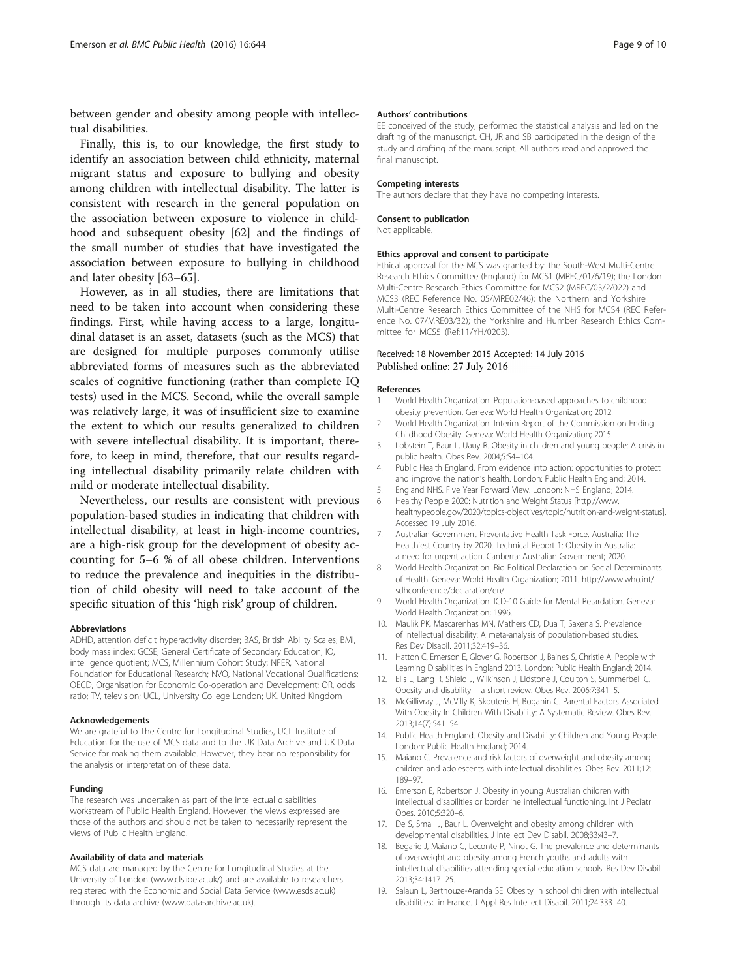<span id="page-8-0"></span>between gender and obesity among people with intellectual disabilities.

Finally, this is, to our knowledge, the first study to identify an association between child ethnicity, maternal migrant status and exposure to bullying and obesity among children with intellectual disability. The latter is consistent with research in the general population on the association between exposure to violence in childhood and subsequent obesity [[62](#page-9-0)] and the findings of the small number of studies that have investigated the association between exposure to bullying in childhood and later obesity [\[63](#page-9-0)–[65](#page-9-0)].

However, as in all studies, there are limitations that need to be taken into account when considering these findings. First, while having access to a large, longitudinal dataset is an asset, datasets (such as the MCS) that are designed for multiple purposes commonly utilise abbreviated forms of measures such as the abbreviated scales of cognitive functioning (rather than complete IQ tests) used in the MCS. Second, while the overall sample was relatively large, it was of insufficient size to examine the extent to which our results generalized to children with severe intellectual disability. It is important, therefore, to keep in mind, therefore, that our results regarding intellectual disability primarily relate children with mild or moderate intellectual disability.

Nevertheless, our results are consistent with previous population-based studies in indicating that children with intellectual disability, at least in high-income countries, are a high-risk group for the development of obesity accounting for 5–6 % of all obese children. Interventions to reduce the prevalence and inequities in the distribution of child obesity will need to take account of the specific situation of this 'high risk' group of children.

#### Abbreviations

ADHD, attention deficit hyperactivity disorder; BAS, British Ability Scales; BMI, body mass index; GCSE, General Certificate of Secondary Education; IQ, intelligence quotient; MCS, Millennium Cohort Study; NFER, National Foundation for Educational Research; NVQ, National Vocational Qualifications; OECD, Organisation for Economic Co-operation and Development; OR, odds ratio; TV, television; UCL, University College London; UK, United Kingdom

#### Acknowledgements

We are grateful to The Centre for Longitudinal Studies, UCL Institute of Education for the use of MCS data and to the UK Data Archive and UK Data Service for making them available. However, they bear no responsibility for the analysis or interpretation of these data.

#### Funding

The research was undertaken as part of the intellectual disabilities workstream of Public Health England. However, the views expressed are those of the authors and should not be taken to necessarily represent the views of Public Health England.

#### Availability of data and materials

MCS data are managed by the Centre for Longitudinal Studies at the University of London ([www.cls.ioe.ac.uk/](http://www.cls.ioe.ac.uk/)) and are available to researchers registered with the Economic and Social Data Service ([www.esds.ac.uk](http://www.esds.ac.uk/)) through its data archive [\(www.data-archive.ac.uk](http://www.data-archive.ac.uk/)).

#### Authors' contributions

EE conceived of the study, performed the statistical analysis and led on the drafting of the manuscript. CH, JR and SB participated in the design of the study and drafting of the manuscript. All authors read and approved the final manuscript.

#### Competing interests

The authors declare that they have no competing interests.

#### Consent to publication

Not applicable.

#### Ethics approval and consent to participate

Ethical approval for the MCS was granted by: the South-West Multi-Centre Research Ethics Committee (England) for MCS1 (MREC/01/6/19); the London Multi-Centre Research Ethics Committee for MCS2 (MREC/03/2/022) and MCS3 (REC Reference No. 05/MRE02/46); the Northern and Yorkshire Multi-Centre Research Ethics Committee of the NHS for MCS4 (REC Reference No. 07/MRE03/32); the Yorkshire and Humber Research Ethics Committee for MCS5 (Ref:11/YH/0203).

#### Received: 18 November 2015 Accepted: 14 July 2016 Published online: 27 July 2016

#### References

- 1. World Health Organization. Population-based approaches to childhood obesity prevention. Geneva: World Health Organization; 2012.
- 2. World Health Organization. Interim Report of the Commission on Ending Childhood Obesity. Geneva: World Health Organization; 2015.
- 3. Lobstein T, Baur L, Uauy R. Obesity in children and young people: A crisis in public health. Obes Rev. 2004;5:S4–104.
- 4. Public Health England. From evidence into action: opportunities to protect and improve the nation's health. London: Public Health England; 2014.
- 5. England NHS. Five Year Forward View. London: NHS England; 2014.
- 6. Healthy People 2020: Nutrition and Weight Status [[http://www.](http://www.healthypeople.gov/2020/topics-objectives/topic/nutrition-and-weight-status) [healthypeople.gov/2020/topics-objectives/topic/nutrition-and-weight-status\]](http://www.healthypeople.gov/2020/topics-objectives/topic/nutrition-and-weight-status). Accessed 19 July 2016.
- 7. Australian Government Preventative Health Task Force. Australia: The Healthiest Country by 2020. Technical Report 1: Obesity in Australia: a need for urgent action. Canberra: Australian Government; 2020.
- 8. World Health Organization. Rio Political Declaration on Social Determinants of Health. Geneva: World Health Organization; 2011. http://www.who.int/ sdhconference/declaration/en/.
- 9. World Health Organization. ICD-10 Guide for Mental Retardation. Geneva: World Health Organization; 1996.
- 10. Maulik PK, Mascarenhas MN, Mathers CD, Dua T, Saxena S. Prevalence of intellectual disability: A meta-analysis of population-based studies. Res Dev Disabil. 2011;32:419–36.
- 11. Hatton C, Emerson E, Glover G, Robertson J, Baines S, Christie A. People with Learning Disabilities in England 2013. London: Public Health England; 2014.
- 12. Ells L, Lang R, Shield J, Wilkinson J, Lidstone J, Coulton S, Summerbell C. Obesity and disability – a short review. Obes Rev. 2006;7:341–5.
- 13. McGillivray J, McVilly K, Skouteris H, Boganin C. Parental Factors Associated With Obesity In Children With Disability: A Systematic Review. Obes Rev. 2013;14(7):541–54.
- 14. Public Health England. Obesity and Disability: Children and Young People. London: Public Health England; 2014.
- 15. Maiano C. Prevalence and risk factors of overweight and obesity among children and adolescents with intellectual disabilities. Obes Rev. 2011;12: 189–97.
- 16. Emerson E, Robertson J. Obesity in young Australian children with intellectual disabilities or borderline intellectual functioning. Int J Pediatr Obes. 2010;5:320–6.
- 17. De S, Small J, Baur L. Overweight and obesity among children with developmental disabilities. J Intellect Dev Disabil. 2008;33:43–7.
- 18. Begarie J, Maiano C, Leconte P, Ninot G. The prevalence and determinants of overweight and obesity among French youths and adults with intellectual disabilities attending special education schools. Res Dev Disabil. 2013;34:1417–25.
- 19. Salaun L, Berthouze-Aranda SE. Obesity in school children with intellectual disabilitiesc in France. J Appl Res Intellect Disabil. 2011;24:333–40.